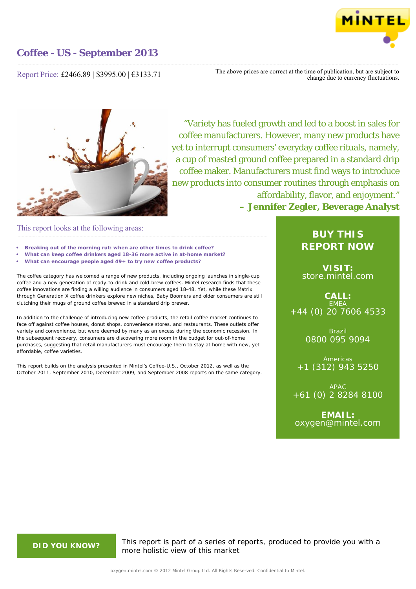

Report Price: £2466.89 | \$3995.00 | €3133.71

The above prices are correct at the time of publication, but are subject to change due to currency fluctuations.



"Variety has fueled growth and led to a boost in sales for coffee manufacturers. However, many new products have yet to interrupt consumers' everyday coffee rituals, namely, a cup of roasted ground coffee prepared in a standard drip coffee maker. Manufacturers must find ways to introduce new products into consumer routines through emphasis on affordability, flavor, and enjoyment." **– Jennifer Zegler, Beverage Analyst**

## This report looks at the following areas:

- **• Breaking out of the morning rut: when are other times to drink coffee?**
- **• What can keep coffee drinkers aged 18-36 more active in at-home market?**
- **• What can encourage people aged 49+ to try new coffee products?**

The coffee category has welcomed a range of new products, including ongoing launches in single-cup coffee and a new generation of ready-to-drink and cold-brew coffees. Mintel research finds that these coffee innovations are finding a willing audience in consumers aged 18-48. Yet, while these Matrix through Generation X coffee drinkers explore new niches, Baby Boomers and older consumers are still clutching their mugs of ground coffee brewed in a standard drip brewer.

In addition to the challenge of introducing new coffee products, the retail coffee market continues to face off against coffee houses, donut shops, convenience stores, and restaurants. These outlets offer variety and convenience, but were deemed by many as an excess during the economic recession. In the subsequent recovery, consumers are discovering more room in the budget for out-of-home purchases, suggesting that retail manufacturers must encourage them to stay at home with new, yet affordable, coffee varieties.

This report builds on the analysis presented in Mintel's *Coffee-U.S., October 2012,* as well as the October 2011, September 2010, December 2009, and September 2008 reports on the same category.

## **BUY THIS REPORT NOW**

**VISIT:** [store.mintel.com](http://oxygen.mintel.com//display/store/637749/)

**CALL:** EMEA +44 (0) 20 7606 4533

> Brazil 0800 095 9094

Americas +1 (312) 943 5250

APAC +61 (0) 2 8284 8100

**EMAIL:** [oxygen@mintel.com](mailto:oxygen@mintel.com)

**DID YOU KNOW?** This report is part of a series of reports, produced to provide you with a more holistic view of this market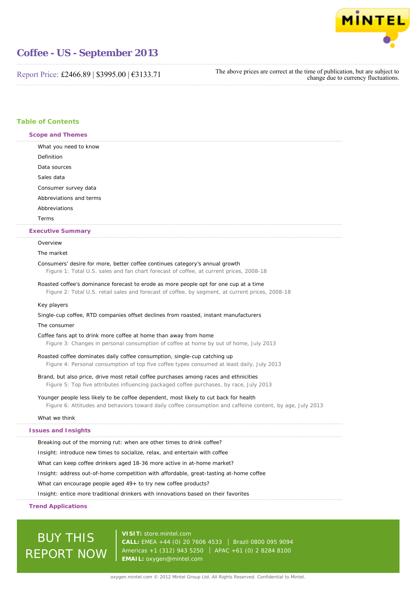

Report Price: £2466.89 | \$3995.00 | €3133.71

The above prices are correct at the time of publication, but are subject to change due to currency fluctuations.

## **Table of Contents**

| Scope and Themes                                                                                                                                                                          |  |
|-------------------------------------------------------------------------------------------------------------------------------------------------------------------------------------------|--|
| What you need to know                                                                                                                                                                     |  |
| Definition                                                                                                                                                                                |  |
| Data sources                                                                                                                                                                              |  |
| Sales data                                                                                                                                                                                |  |
| Consumer survey data                                                                                                                                                                      |  |
| Abbreviations and terms                                                                                                                                                                   |  |
| Abbreviations                                                                                                                                                                             |  |
| Terms                                                                                                                                                                                     |  |
| <b>Executive Summary</b>                                                                                                                                                                  |  |
| Overview                                                                                                                                                                                  |  |
| The market                                                                                                                                                                                |  |
| Consumers' desire for more, better coffee continues category's annual growth                                                                                                              |  |
| Figure 1: Total U.S. sales and fan chart forecast of coffee, at current prices, 2008-18                                                                                                   |  |
| Roasted coffee's dominance forecast to erode as more people opt for one cup at a time<br>Figure 2: Total U.S. retail sales and forecast of coffee, by segment, at current prices, 2008-18 |  |
| Key players                                                                                                                                                                               |  |
| Single-cup coffee, RTD companies offset declines from roasted, instant manufacturers                                                                                                      |  |
| The consumer                                                                                                                                                                              |  |
| Coffee fans apt to drink more coffee at home than away from home                                                                                                                          |  |
| Figure 3: Changes in personal consumption of coffee at home by out of home, July 2013                                                                                                     |  |
| Roasted coffee dominates daily coffee consumption, single-cup catching up                                                                                                                 |  |
| Figure 4: Personal consumption of top five coffee types consumed at least daily, July 2013                                                                                                |  |
| Brand, but also price, drive most retail coffee purchases among races and ethnicities                                                                                                     |  |
| Figure 5: Top five attributes influencing packaged coffee purchases, by race, July 2013                                                                                                   |  |
| Younger people less likely to be coffee dependent, most likely to cut back for health                                                                                                     |  |
| Figure 6: Attitudes and behaviors toward daily coffee consumption and caffeine content, by age, July 2013                                                                                 |  |
| What we think                                                                                                                                                                             |  |
| <b>Issues and Insights</b>                                                                                                                                                                |  |
| Breaking out of the morning rut: when are other times to drink coffee?                                                                                                                    |  |
| Insight: introduce new times to socialize, relax, and entertain with coffee                                                                                                               |  |
| What can keep coffee drinkers aged 18-36 more active in at-home market?                                                                                                                   |  |
| Insight: address out-of-home competition with affordable, great-tasting at-home coffee                                                                                                    |  |
| What can encourage people aged $49+$ to try new coffee products?                                                                                                                          |  |
| Insight: entice more traditional drinkers with innovations based on their favorites                                                                                                       |  |

## **Trend Applications**

# BUY THIS REPORT NOW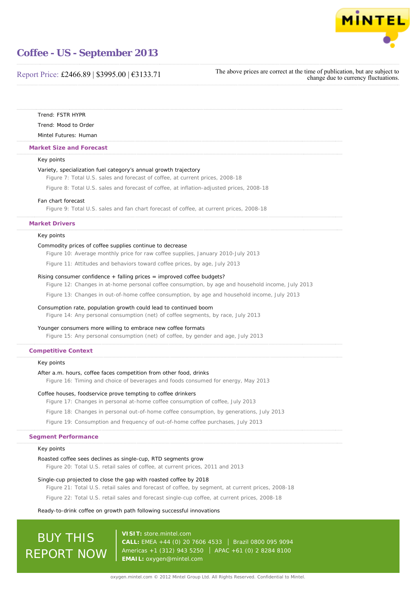

## Report Price: £2466.89 | \$3995.00 | €3133.71

The above prices are correct at the time of publication, but are subject to change due to currency fluctuations.

Trend: FSTR HYPR

Trend: Mood to Order

Mintel Futures: Human

#### **Market Size and Forecast**

#### Key points

#### Variety, specialization fuel category's annual growth trajectory

Figure 7: Total U.S. sales and forecast of coffee, at current prices, 2008-18

Figure 8: Total U.S. sales and forecast of coffee, at inflation-adjusted prices, 2008-18

#### Fan chart forecast

Figure 9: Total U.S. sales and fan chart forecast of coffee, at current prices, 2008-18

#### **Market Drivers**

#### Key points

#### Commodity prices of coffee supplies continue to decrease

Figure 10: Average monthly price for raw coffee supplies, January 2010-July 2013

Figure 11: Attitudes and behaviors toward coffee prices, by age, July 2013

#### Rising consumer confidence + falling prices = improved coffee budgets?

Figure 12: Changes in at-home personal coffee consumption, by age and household income, July 2013

Figure 13: Changes in out-of-home coffee consumption, by age and household income, July 2013

#### Consumption rate, population growth could lead to continued boom

Figure 14: Any personal consumption (net) of coffee segments, by race, July 2013

#### Younger consumers more willing to embrace new coffee formats

Figure 15: Any personal consumption (net) of coffee, by gender and age, July 2013

#### **Competitive Context**

## Key points

#### After a.m. hours, coffee faces competition from other food, drinks

Figure 16: Timing and choice of beverages and foods consumed for energy, May 2013

### Coffee houses, foodservice prove tempting to coffee drinkers

Figure 17: Changes in personal at-home coffee consumption of coffee, July 2013

Figure 18: Changes in personal out-of-home coffee consumption, by generations, July 2013

Figure 19: Consumption and frequency of out-of-home coffee purchases, July 2013

#### **Segment Performance**

#### Key points

#### Roasted coffee sees declines as single-cup, RTD segments grow

Figure 20: Total U.S. retail sales of coffee, at current prices, 2011 and 2013

#### Single-cup projected to close the gap with roasted coffee by 2018

Figure 21: Total U.S. retail sales and forecast of coffee, by segment, at current prices, 2008-18

Figure 22: Total U.S. retail sales and forecast single-cup coffee, at current prices, 2008-18

#### Ready-to-drink coffee on growth path following successful innovations

# **BUY THIS** REPORT NOW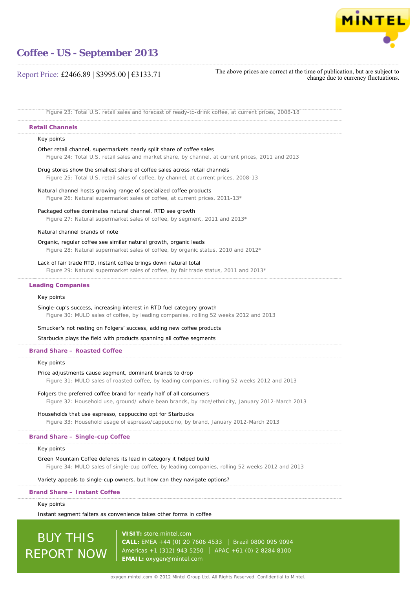

## Report Price: £2466.89 | \$3995.00 | €3133.71

The above prices are correct at the time of publication, but are subject to change due to currency fluctuations.

Figure 23: Total U.S. retail sales and forecast of ready-to-drink coffee, at current prices, 2008-18

#### **Retail Channels**

### Key points

Other retail channel, supermarkets nearly split share of coffee sales

Figure 24: Total U.S. retail sales and market share, by channel, at current prices, 2011 and 2013

Drug stores show the smallest share of coffee sales across retail channels Figure 25: Total U.S. retail sales of coffee, by channel, at current prices, 2008-13

#### Natural channel hosts growing range of specialized coffee products

Figure 26: Natural supermarket sales of coffee, at current prices, 2011-13\*

Packaged coffee dominates natural channel, RTD see growth

Figure 27: Natural supermarket sales of coffee, by segment, 2011 and 2013\*

## Natural channel brands of note

#### Organic, regular coffee see similar natural growth, organic leads

Figure 28: Natural supermarket sales of coffee, by organic status, 2010 and 2012\*

Lack of fair trade RTD, instant coffee brings down natural total

Figure 29: Natural supermarket sales of coffee, by fair trade status, 2011 and 2013\*

## **Leading Companies**

#### Key points

Single-cup's success, increasing interest in RTD fuel category growth Figure 30: MULO sales of coffee, by leading companies, rolling 52 weeks 2012 and 2013

Smucker's not resting on Folgers' success, adding new coffee products

Starbucks plays the field with products spanning all coffee segments

#### **Brand Share – Roasted Coffee**

Key points

#### Price adjustments cause segment, dominant brands to drop

Figure 31: MULO sales of roasted coffee, by leading companies, rolling 52 weeks 2012 and 2013

### Folgers the preferred coffee brand for nearly half of all consumers

Figure 32: Household use, ground/ whole bean brands, by race/ethnicity, January 2012-March 2013

#### Households that use espresso, cappuccino opt for Starbucks

Figure 33: Household usage of espresso/cappuccino, by brand, January 2012-March 2013

#### **Brand Share – Single-cup Coffee**

#### Key points

#### Green Mountain Coffee defends its lead in category it helped build

Figure 34: MULO sales of single-cup coffee, by leading companies, rolling 52 weeks 2012 and 2013

#### Variety appeals to single-cup owners, but how can they navigate options?

#### **Brand Share – Instant Coffee**

#### Key points

Instant segment falters as convenience takes other forms in coffee

# BUY THIS REPORT NOW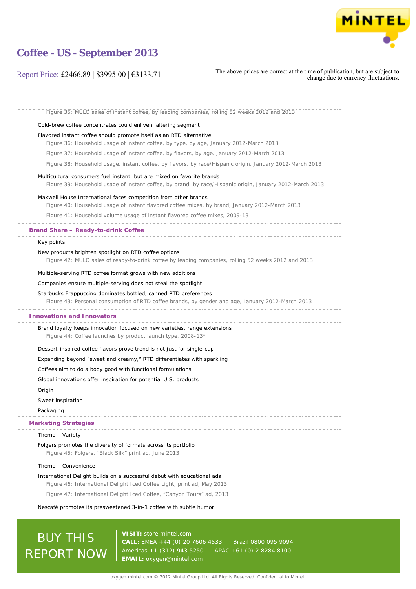

## Report Price: £2466.89 | \$3995.00 | €3133.71

The above prices are correct at the time of publication, but are subject to change due to currency fluctuations.

Figure 35: MULO sales of instant coffee, by leading companies, rolling 52 weeks 2012 and 2013

### Cold-brew coffee concentrates could enliven faltering segment

#### Flavored instant coffee should promote itself as an RTD alternative

Figure 36: Household usage of instant coffee, by type, by age, January 2012-March 2013

Figure 37: Household usage of instant coffee, by flavors, by age, January 2012-March 2013

Figure 38: Household usage, instant coffee, by flavors, by race/Hispanic origin, January 2012-March 2013

#### Multicultural consumers fuel instant, but are mixed on favorite brands

Figure 39: Household usage of instant coffee, by brand, by race/Hispanic origin, January 2012-March 2013

#### Maxwell House International faces competition from other brands

Figure 40: Household usage of instant flavored coffee mixes, by brand, January 2012-March 2013

Figure 41: Household volume usage of instant flavored coffee mixes, 2009-13

#### **Brand Share – Ready-to-drink Coffee**

#### Key points

#### New products brighten spotlight on RTD coffee options

Figure 42: MULO sales of ready-to-drink coffee by leading companies, rolling 52 weeks 2012 and 2013

Multiple-serving RTD coffee format grows with new additions

#### Companies ensure multiple-serving does not steal the spotlight

#### Starbucks Frappuccino dominates bottled, canned RTD preferences

Figure 43: Personal consumption of RTD coffee brands, by gender and age, January 2012-March 2013

### **Innovations and Innovators**

Brand loyalty keeps innovation focused on new varieties, range extensions

Figure 44: Coffee launches by product launch type, 2008-13\*

#### Dessert-inspired coffee flavors prove trend is not just for single-cup

Expanding beyond "sweet and creamy," RTD differentiates with sparkling

Coffees aim to do a body good with functional formulations

Global innovations offer inspiration for potential U.S. products

Origin

Sweet inspiration

#### Packaging

## **Marketing Strategies**

#### Theme – Variety

#### Folgers promotes the diversity of formats across its portfolio

Figure 45: Folgers, "Black Silk" print ad, June 2013

#### Theme – Convenience

International Delight builds on a successful debut with educational ads

Figure 46: International Delight Iced Coffee Light, print ad, May 2013

Figure 47: International Delight Iced Coffee, "Canyon Tours" ad, 2013

#### Nescafé promotes its presweetened 3-in-1 coffee with subtle humor

# BUY THIS REPORT NOW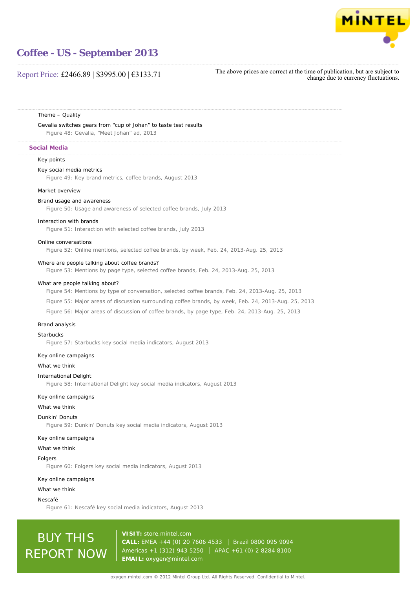

## Report Price: £2466.89 | \$3995.00 | €3133.71

The above prices are correct at the time of publication, but are subject to change due to currency fluctuations.

#### Theme – Quality

Gevalia switches gears from "cup of Johan" to taste test results

Figure 48: Gevalia, "Meet Johan" ad, 2013

## **Social Media**

## Key points

#### Key social media metrics

Figure 49: Key brand metrics, coffee brands, August 2013

#### Market overview

#### Brand usage and awareness

Figure 50: Usage and awareness of selected coffee brands, July 2013

#### Interaction with brands

Figure 51: Interaction with selected coffee brands, July 2013

## Online conversations

Figure 52: Online mentions, selected coffee brands, by week, Feb. 24, 2013-Aug. 25, 2013

#### Where are people talking about coffee brands?

Figure 53: Mentions by page type, selected coffee brands, Feb. 24, 2013-Aug. 25, 2013

#### What are people talking about?

Figure 54: Mentions by type of conversation, selected coffee brands, Feb. 24, 2013-Aug. 25, 2013

Figure 55: Major areas of discussion surrounding coffee brands, by week, Feb. 24, 2013-Aug. 25, 2013

Figure 56: Major areas of discussion of coffee brands, by page type, Feb. 24, 2013-Aug. 25, 2013

#### Brand analysis

### **Starbucks**

Figure 57: Starbucks key social media indicators, August 2013

#### Key online campaigns

What we think

#### International Delight

Figure 58: International Delight key social media indicators, August 2013

#### Key online campaigns

What we think

#### Dunkin' Donuts

Figure 59: Dunkin' Donuts key social media indicators, August 2013

#### Key online campaigns

#### What we think

#### Folgers

Figure 60: Folgers key social media indicators, August 2013

#### Key online campaigns

#### What we think

#### Nescafé

Figure 61: Nescafé key social media indicators, August 2013

# BUY THIS REPORT NOW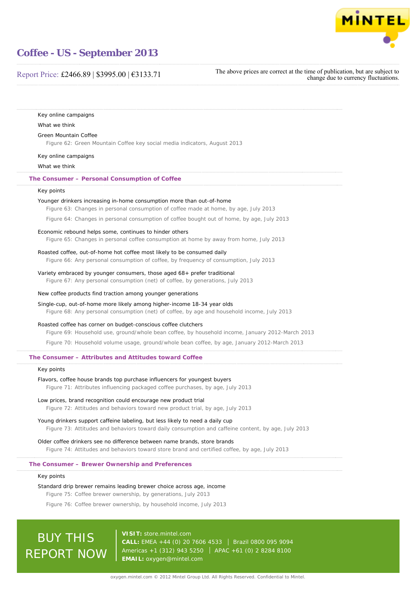

## Report Price: £2466.89 | \$3995.00 | €3133.71

The above prices are correct at the time of publication, but are subject to change due to currency fluctuations.

| Key online campaigns                                                                                                                                                                 |
|--------------------------------------------------------------------------------------------------------------------------------------------------------------------------------------|
| What we think                                                                                                                                                                        |
| Green Mountain Coffee                                                                                                                                                                |
| Figure 62: Green Mountain Coffee key social media indicators, August 2013                                                                                                            |
| Key online campaigns                                                                                                                                                                 |
| What we think                                                                                                                                                                        |
| The Consumer - Personal Consumption of Coffee                                                                                                                                        |
| Key points                                                                                                                                                                           |
| Younger drinkers increasing in-home consumption more than out-of-home<br>Figure 63: Changes in personal consumption of coffee made at home, by age, July 2013                        |
| Figure 64: Changes in personal consumption of coffee bought out of home, by age, July 2013                                                                                           |
| Economic rebound helps some, continues to hinder others                                                                                                                              |
| Figure 65: Changes in personal coffee consumption at home by away from home, July 2013                                                                                               |
| Roasted coffee, out-of-home hot coffee most likely to be consumed daily                                                                                                              |
| Figure 66: Any personal consumption of coffee, by frequency of consumption, July 2013                                                                                                |
| Variety embraced by younger consumers, those aged 68+ prefer traditional<br>Figure 67: Any personal consumption (net) of coffee, by generations, July 2013                           |
| New coffee products find traction among younger generations                                                                                                                          |
| Single-cup, out-of-home more likely among higher-income 18-34 year olds<br>Figure 68: Any personal consumption (net) of coffee, by age and household income, July 2013               |
| Roasted coffee has corner on budget-conscious coffee clutchers<br>Figure 69: Household use, ground/whole bean coffee, by household income, January 2012-March 2013                   |
| Figure 70: Household volume usage, ground/whole bean coffee, by age, January 2012-March 2013                                                                                         |
| The Consumer – Attributes and Attitudes toward Coffee                                                                                                                                |
| Key points                                                                                                                                                                           |
| Flavors, coffee house brands top purchase influencers for youngest buyers                                                                                                            |
| Figure 71: Attributes influencing packaged coffee purchases, by age, July 2013                                                                                                       |
| Low prices, brand recognition could encourage new product trial                                                                                                                      |
| Figure 72: Attitudes and behaviors toward new product trial, by age, July 2013                                                                                                       |
| Young drinkers support caffeine labeling, but less likely to need a daily cup<br>Figure 73: Attitudes and behaviors toward daily consumption and caffeine content, by age, July 2013 |
| Older coffee drinkers see no difference between name brands, store brands                                                                                                            |
| Figure 74: Attitudes and behaviors toward store brand and certified coffee, by age, July 2013                                                                                        |
| The Consumer – Brewer Ownership and Preferences                                                                                                                                      |
| Key points                                                                                                                                                                           |
| Standard drip brewer remains leading brewer choice across age, income                                                                                                                |
| Figure 75: Coffee brewer ownership, by generations, July 2013                                                                                                                        |
| Figure 76: Coffee brewer ownership, by household income, July 2013                                                                                                                   |

BUY THIS REPORT NOW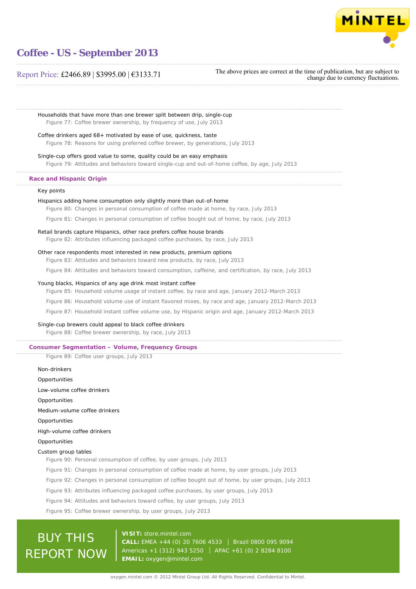

## Report Price: £2466.89 | \$3995.00 | €3133.71

The above prices are correct at the time of publication, but are subject to change due to currency fluctuations.

Households that have more than one brewer split between drip, single-cup Figure 77: Coffee brewer ownership, by frequency of use, July 2013

Coffee drinkers aged 68+ motivated by ease of use, quickness, taste

Figure 78: Reasons for using preferred coffee brewer, by generations, July 2013

Single-cup offers good value to some, quality could be an easy emphasis Figure 79: Attitudes and behaviors toward single-cup and out-of-home coffee, by age, July 2013

### **Race and Hispanic Origin**

#### Key points

#### Hispanics adding home consumption only slightly more than out-of-home

Figure 80: Changes in personal consumption of coffee made at home, by race, July 2013

Figure 81: Changes in personal consumption of coffee bought out of home, by race, July 2013

## Retail brands capture Hispanics, other race prefers coffee house brands

Figure 82: Attributes influencing packaged coffee purchases, by race, July 2013

#### Other race respondents most interested in new products, premium options

Figure 83: Attitudes and behaviors toward new products, by race, July 2013

Figure 84: Attitudes and behaviors toward consumption, caffeine, and certification, by race, July 2013

#### Young blacks, Hispanics of any age drink most instant coffee

Figure 85: Household volume usage of instant coffee, by race and age, January 2012-March 2013

Figure 86: Household volume use of instant flavored mixes, by race and age, January 2012-March 2013

Figure 87: Household instant coffee volume use, by Hispanic origin and age, January 2012-March 2013

### Single-cup brewers could appeal to black coffee drinkers

Figure 88: Coffee brewer ownership, by race, July 2013

## **Consumer Segmentation – Volume, Frequency Groups**

Figure 89: Coffee user groups, July 2013

Non-drinkers Opportunities

Low-volume coffee drinkers

**Opportunities** 

Medium-volume coffee drinkers

**Opportunities** 

High-volume coffee drinkers

#### Opportunities

#### Custom group tables

Figure 90: Personal consumption of coffee, by user groups, July 2013

- Figure 91: Changes in personal consumption of coffee made at home, by user groups, July 2013
- Figure 92: Changes in personal consumption of coffee bought out of home, by user groups, July 2013
- Figure 93: Attributes influencing packaged coffee purchases, by user groups, July 2013
- Figure 94: Attitudes and behaviors toward coffee, by user groups, July 2013
- Figure 95: Coffee brewer ownership, by user groups, July 2013

# BUY THIS REPORT NOW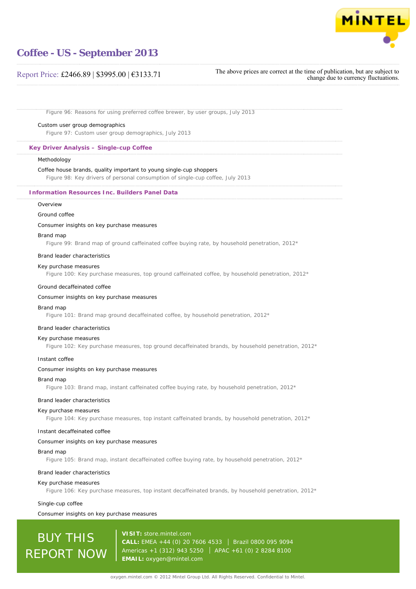

## Report Price: £2466.89 | \$3995.00 | €3133.71

The above prices are correct at the time of publication, but are subject to change due to currency fluctuations.

Figure 96: Reasons for using preferred coffee brewer, by user groups, July 2013

#### Custom user group demographics

Figure 97: Custom user group demographics, July 2013

## **Key Driver Analysis – Single-cup Coffee**

#### **Methodology**

#### Coffee house brands, quality important to young single-cup shoppers

Figure 98: Key drivers of personal consumption of single-cup coffee, July 2013

#### **Information Resources Inc. Builders Panel Data**

## Overview

#### Ground coffee

### Consumer insights on key purchase measures

#### Brand map

Figure 99: Brand map of ground caffeinated coffee buying rate, by household penetration,  $2012*$ 

#### Brand leader characteristics

#### Key purchase measures

Figure 100: Key purchase measures, top ground caffeinated coffee, by household penetration, 2012\*

#### Ground decaffeinated coffee

### Consumer insights on key purchase measures

#### Brand map

Figure 101: Brand map ground decaffeinated coffee, by household penetration, 2012\*

#### Brand leader characteristics

#### Key purchase measures

Figure 102: Key purchase measures, top ground decaffeinated brands, by household penetration, 2012\*

#### Instant coffee

#### Consumer insights on key purchase measures

#### Brand map

Figure 103: Brand map, instant caffeinated coffee buying rate, by household penetration,  $2012*$ 

#### Brand leader characteristics

#### Key purchase measures

Figure 104: Key purchase measures, top instant caffeinated brands, by household penetration,  $2012*$ 

#### Instant decaffeinated coffee

#### Consumer insights on key purchase measures

#### Brand map

Figure 105: Brand map, instant decaffeinated coffee buying rate, by household penetration, 2012\*

#### Brand leader characteristics

#### Key purchase measures

Figure 106: Key purchase measures, top instant decaffeinated brands, by household penetration, 2012\*

#### Single-cup coffee

#### Consumer insights on key purchase measures

# BUY THIS REPORT NOW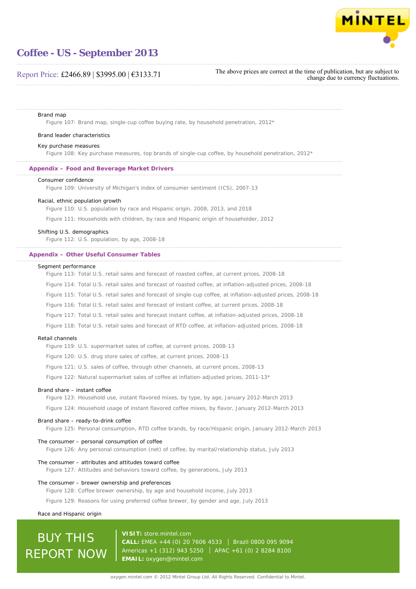

## Report Price: £2466.89 | \$3995.00 | €3133.71

The above prices are correct at the time of publication, but are subject to change due to currency fluctuations.

#### Brand map

Figure 107: Brand map, single-cup coffee buying rate, by household penetration, 2012\*

#### Brand leader characteristics

#### Key purchase measures

Figure 108: Key purchase measures, top brands of single-cup coffee, by household penetration, 2012\*

## **Appendix – Food and Beverage Market Drivers**

#### Consumer confidence

Figure 109: University of Michigan's index of consumer sentiment (ICS), 2007-13

#### Racial, ethnic population growth

Figure 110: U.S. population by race and Hispanic origin, 2008, 2013, and 2018

Figure 111: Households with children, by race and Hispanic origin of householder, 2012

#### Shifting U.S. demographics

Figure 112: U.S. population, by age, 2008-18

#### **Appendix – Other Useful Consumer Tables**

#### Segment performance

Figure 113: Total U.S. retail sales and forecast of roasted coffee, at current prices, 2008-18 Figure 114: Total U.S. retail sales and forecast of roasted coffee, at inflation-adjusted prices, 2008-18 Figure 115: Total U.S. retail sales and forecast of single-cup coffee, at inflation-adjusted prices, 2008-18 Figure 116: Total U.S. retail sales and forecast of instant coffee, at current prices, 2008-18 Figure 117: Total U.S. retail sales and forecast instant coffee, at inflation-adjusted prices, 2008-18 Figure 118: Total U.S. retail sales and forecast of RTD coffee, at inflation-adjusted prices, 2008-18

#### Retail channels

Figure 119: U.S. supermarket sales of coffee, at current prices, 2008-13

Figure 120: U.S. drug store sales of coffee, at current prices, 2008-13

Figure 121: U.S. sales of coffee, through other channels, at current prices, 2008-13

Figure 122: Natural supermarket sales of coffee at inflation-adjusted prices, 2011-13\*

#### Brand share – instant coffee

Figure 123: Household use, instant flavored mixes, by type, by age, January 2012-March 2013

Figure 124: Household usage of instant flavored coffee mixes, by flavor, January 2012-March 2013

#### Brand share – ready-to-drink coffee

Figure 125: Personal consumption, RTD coffee brands, by race/Hispanic origin, January 2012-March 2013

#### The consumer – personal consumption of coffee

Figure 126: Any personal consumption (net) of coffee, by marital/relationship status, July 2013

#### The consumer – attributes and attitudes toward coffee

Figure 127: Attitudes and behaviors toward coffee, by generations, July 2013

#### The consumer – brewer ownership and preferences

Figure 128: Coffee brewer ownership, by age and household income, July 2013

Figure 129: Reasons for using preferred coffee brewer, by gender and age, July 2013

#### Race and Hispanic origin

# BUY THIS REPORT NOW